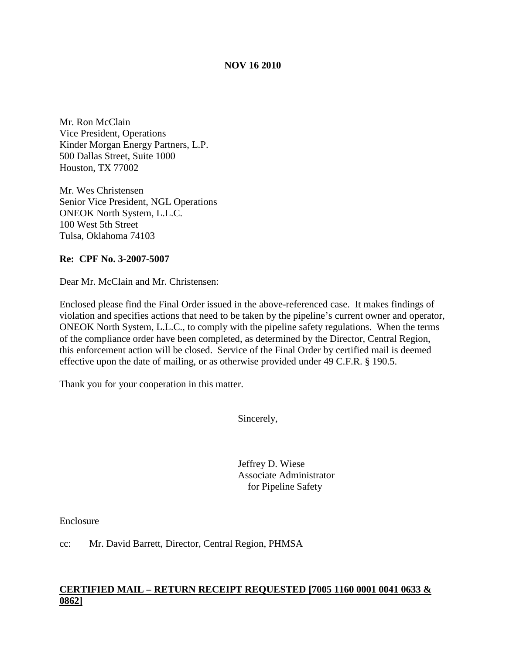## **NOV 16 2010**

Mr. Ron McClain Vice President, Operations Kinder Morgan Energy Partners, L.P. 500 Dallas Street, Suite 1000 Houston, TX 77002

Mr. Wes Christensen Senior Vice President, NGL Operations ONEOK North System, L.L.C. 100 West 5th Street Tulsa, Oklahoma 74103

### **Re: CPF No. 3-2007-5007**

Dear Mr. McClain and Mr. Christensen:

Enclosed please find the Final Order issued in the above-referenced case. It makes findings of violation and specifies actions that need to be taken by the pipeline's current owner and operator, ONEOK North System, L.L.C., to comply with the pipeline safety regulations. When the terms of the compliance order have been completed, as determined by the Director, Central Region, this enforcement action will be closed. Service of the Final Order by certified mail is deemed effective upon the date of mailing, or as otherwise provided under 49 C.F.R. § 190.5.

Thank you for your cooperation in this matter.

Sincerely,

Jeffrey D. Wiese Associate Administrator for Pipeline Safety

Enclosure

cc: Mr. David Barrett, Director, Central Region, PHMSA

## **CERTIFIED MAIL – RETURN RECEIPT REQUESTED [7005 1160 0001 0041 0633 & 0862]**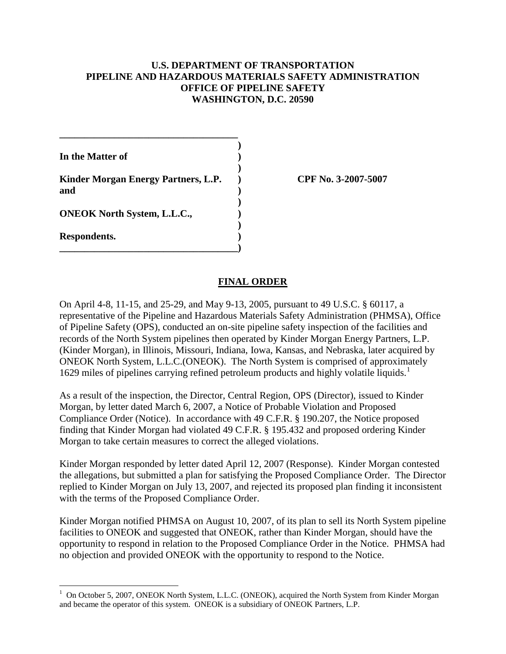## **U.S. DEPARTMENT OF TRANSPORTATION PIPELINE AND HAZARDOUS MATERIALS SAFETY ADMINISTRATION OFFICE OF PIPELINE SAFETY WASHINGTON, D.C. 20590**

| In the Matter of                           |  |
|--------------------------------------------|--|
| Kinder Morgan Energy Partners, L.P.<br>and |  |
| <b>ONEOK North System, L.L.C.,</b>         |  |
| Respondents.                               |  |

**\_\_\_\_\_\_\_\_\_\_\_\_\_\_\_\_\_\_\_\_\_\_\_\_\_\_\_\_\_\_\_\_\_\_\_\_**

**Kinder Morgan Energy Partners, L.P. ) CPF No. 3-2007-5007**

### **FINAL ORDER**

On April 4-8, 11-15, and 25-29, and May 9-13, 2005, pursuant to 49 U.S.C. § 60117, a representative of the Pipeline and Hazardous Materials Safety Administration (PHMSA), Office of Pipeline Safety (OPS), conducted an on-site pipeline safety inspection of the facilities and records of the North System pipelines then operated by Kinder Morgan Energy Partners, L.P. (Kinder Morgan), in Illinois, Missouri, Indiana, Iowa, Kansas, and Nebraska, later acquired by ONEOK North System, L.L.C.(ONEOK). The North System is comprised of approximately 1629 miles of pipelines carrying refined petroleum products and highly volatile liquids. [1](#page-1-0)

As a result of the inspection, the Director, Central Region, OPS (Director), issued to Kinder Morgan, by letter dated March 6, 2007, a Notice of Probable Violation and Proposed Compliance Order (Notice). In accordance with 49 C.F.R. § 190.207, the Notice proposed finding that Kinder Morgan had violated 49 C.F.R. § 195.432 and proposed ordering Kinder Morgan to take certain measures to correct the alleged violations.

Kinder Morgan responded by letter dated April 12, 2007 (Response). Kinder Morgan contested the allegations, but submitted a plan for satisfying the Proposed Compliance Order. The Director replied to Kinder Morgan on July 13, 2007, and rejected its proposed plan finding it inconsistent with the terms of the Proposed Compliance Order.

Kinder Morgan notified PHMSA on August 10, 2007, of its plan to sell its North System pipeline facilities to ONEOK and suggested that ONEOK, rather than Kinder Morgan, should have the opportunity to respond in relation to the Proposed Compliance Order in the Notice. PHMSA had no objection and provided ONEOK with the opportunity to respond to the Notice.

<span id="page-1-0"></span> $\frac{1}{1}$  $^{1}$  On October 5, 2007, ONEOK North System, L.L.C. (ONEOK), acquired the North System from Kinder Morgan and became the operator of this system. ONEOK is a subsidiary of ONEOK Partners, L.P.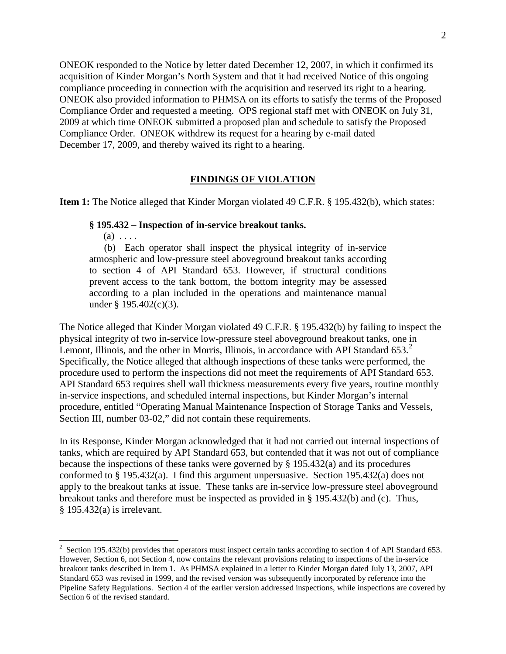ONEOK responded to the Notice by letter dated December 12, 2007, in which it confirmed its acquisition of Kinder Morgan's North System and that it had received Notice of this ongoing compliance proceeding in connection with the acquisition and reserved its right to a hearing. ONEOK also provided information to PHMSA on its efforts to satisfy the terms of the Proposed Compliance Order and requested a meeting. OPS regional staff met with ONEOK on July 31, 2009 at which time ONEOK submitted a proposed plan and schedule to satisfy the Proposed Compliance Order. ONEOK withdrew its request for a hearing by e-mail dated December 17, 2009, and thereby waived its right to a hearing.

#### **FINDINGS OF VIOLATION**

**Item 1:** The Notice alleged that Kinder Morgan violated 49 C.F.R. § 195.432(b), which states:

#### **§ 195.432 – Inspection of in-service breakout tanks.**

 $(a) \ldots$ 

 (b) Each operator shall inspect the physical integrity of in-service atmospheric and low-pressure steel aboveground breakout tanks according to section 4 of API Standard 653. However, if structural conditions prevent access to the tank bottom, the bottom integrity may be assessed according to a plan included in the operations and maintenance manual under § 195.402(c)(3).

The Notice alleged that Kinder Morgan violated 49 C.F.R. § 195.432(b) by failing to inspect the physical integrity of two in-service low-pressure steel aboveground breakout tanks, one in Lemont, Illinois, and the other in Morris, Illinois, in accordance with API Standard  $653<sup>2</sup>$  $653<sup>2</sup>$  $653<sup>2</sup>$ . Specifically, the Notice alleged that although inspections of these tanks were performed, the procedure used to perform the inspections did not meet the requirements of API Standard 653. API Standard 653 requires shell wall thickness measurements every five years, routine monthly in-service inspections, and scheduled internal inspections, but Kinder Morgan's internal procedure, entitled "Operating Manual Maintenance Inspection of Storage Tanks and Vessels, Section III, number 03-02," did not contain these requirements.

In its Response, Kinder Morgan acknowledged that it had not carried out internal inspections of tanks, which are required by API Standard 653, but contended that it was not out of compliance because the inspections of these tanks were governed by § 195.432(a) and its procedures conformed to § 195.432(a). I find this argument unpersuasive. Section 195.432(a) does not apply to the breakout tanks at issue. These tanks are in-service low-pressure steel aboveground breakout tanks and therefore must be inspected as provided in § 195.432(b) and (c). Thus, § 195.432(a) is irrelevant.

<span id="page-2-0"></span> $\frac{1}{2}$  $\frac{2}{3}$  Section 195.432(b) provides that operators must inspect certain tanks according to section 4 of API Standard 653. However, Section 6, not Section 4, now contains the relevant provisions relating to inspections of the in-service breakout tanks described in Item 1. As PHMSA explained in a letter to Kinder Morgan dated July 13, 2007, API Standard 653 was revised in 1999, and the revised version was subsequently incorporated by reference into the Pipeline Safety Regulations. Section 4 of the earlier version addressed inspections, while inspections are covered by Section 6 of the revised standard.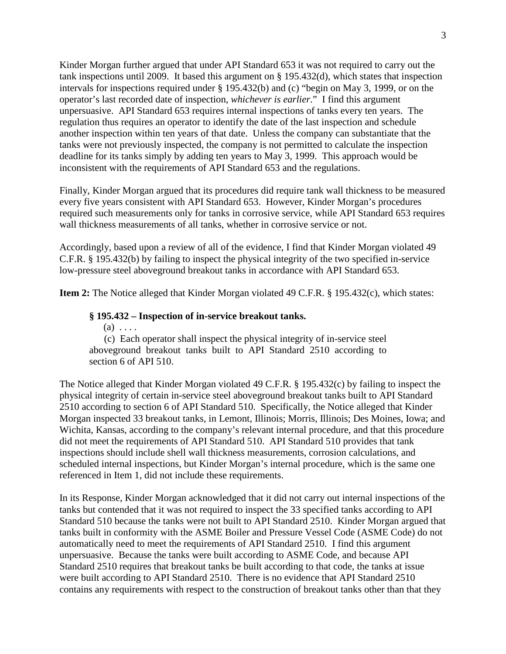Kinder Morgan further argued that under API Standard 653 it was not required to carry out the tank inspections until 2009. It based this argument on § 195.432(d), which states that inspection intervals for inspections required under § 195.432(b) and (c) "begin on May 3, 1999, or on the operator's last recorded date of inspection, *whichever is earlier*." I find this argument unpersuasive. API Standard 653 requires internal inspections of tanks every ten years. The regulation thus requires an operator to identify the date of the last inspection and schedule another inspection within ten years of that date. Unless the company can substantiate that the tanks were not previously inspected, the company is not permitted to calculate the inspection deadline for its tanks simply by adding ten years to May 3, 1999. This approach would be inconsistent with the requirements of API Standard 653 and the regulations.

Finally, Kinder Morgan argued that its procedures did require tank wall thickness to be measured every five years consistent with API Standard 653. However, Kinder Morgan's procedures required such measurements only for tanks in corrosive service, while API Standard 653 requires wall thickness measurements of all tanks, whether in corrosive service or not.

Accordingly, based upon a review of all of the evidence, I find that Kinder Morgan violated 49 C.F.R. § 195.432(b) by failing to inspect the physical integrity of the two specified in-service low-pressure steel aboveground breakout tanks in accordance with API Standard 653.

**Item 2:** The Notice alleged that Kinder Morgan violated 49 C.F.R. § 195.432(c), which states:

#### **§ 195.432 – Inspection of in-service breakout tanks.**

 $(a) \ldots$ 

 (c) Each operator shall inspect the physical integrity of in-service steel aboveground breakout tanks built to API Standard 2510 according to section 6 of API 510.

The Notice alleged that Kinder Morgan violated 49 C.F.R. § 195.432(c) by failing to inspect the physical integrity of certain in-service steel aboveground breakout tanks built to API Standard 2510 according to section 6 of API Standard 510. Specifically, the Notice alleged that Kinder Morgan inspected 33 breakout tanks, in Lemont, Illinois; Morris, Illinois; Des Moines, Iowa; and Wichita, Kansas, according to the company's relevant internal procedure, and that this procedure did not meet the requirements of API Standard 510. API Standard 510 provides that tank inspections should include shell wall thickness measurements, corrosion calculations, and scheduled internal inspections, but Kinder Morgan's internal procedure, which is the same one referenced in Item 1, did not include these requirements.

In its Response, Kinder Morgan acknowledged that it did not carry out internal inspections of the tanks but contended that it was not required to inspect the 33 specified tanks according to API Standard 510 because the tanks were not built to API Standard 2510. Kinder Morgan argued that tanks built in conformity with the ASME Boiler and Pressure Vessel Code (ASME Code) do not automatically need to meet the requirements of API Standard 2510. I find this argument unpersuasive. Because the tanks were built according to ASME Code, and because API Standard 2510 requires that breakout tanks be built according to that code, the tanks at issue were built according to API Standard 2510. There is no evidence that API Standard 2510 contains any requirements with respect to the construction of breakout tanks other than that they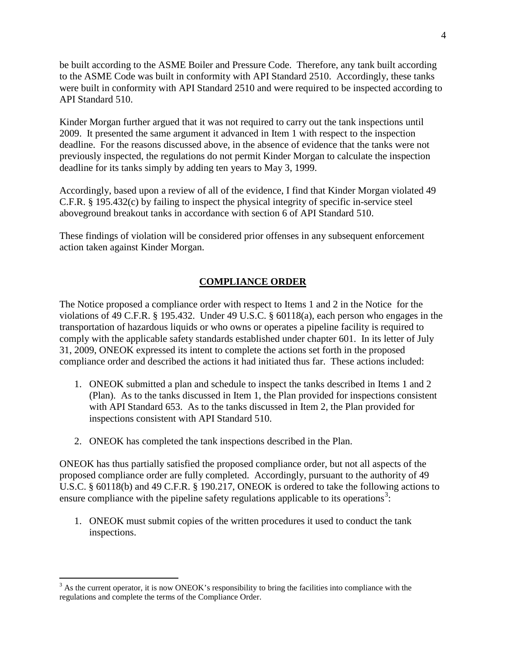be built according to the ASME Boiler and Pressure Code. Therefore, any tank built according to the ASME Code was built in conformity with API Standard 2510. Accordingly, these tanks were built in conformity with API Standard 2510 and were required to be inspected according to API Standard 510.

Kinder Morgan further argued that it was not required to carry out the tank inspections until 2009. It presented the same argument it advanced in Item 1 with respect to the inspection deadline. For the reasons discussed above, in the absence of evidence that the tanks were not previously inspected, the regulations do not permit Kinder Morgan to calculate the inspection deadline for its tanks simply by adding ten years to May 3, 1999.

Accordingly, based upon a review of all of the evidence, I find that Kinder Morgan violated 49 C.F.R. § 195.432(c) by failing to inspect the physical integrity of specific in-service steel aboveground breakout tanks in accordance with section 6 of API Standard 510.

These findings of violation will be considered prior offenses in any subsequent enforcement action taken against Kinder Morgan.

# **COMPLIANCE ORDER**

The Notice proposed a compliance order with respect to Items 1 and 2 in the Notice for the violations of 49 C.F.R. § 195.432. Under 49 U.S.C. § 60118(a), each person who engages in the transportation of hazardous liquids or who owns or operates a pipeline facility is required to comply with the applicable safety standards established under chapter 601. In its letter of July 31, 2009, ONEOK expressed its intent to complete the actions set forth in the proposed compliance order and described the actions it had initiated thus far. These actions included:

- 1. ONEOK submitted a plan and schedule to inspect the tanks described in Items 1 and 2 (Plan). As to the tanks discussed in Item 1, the Plan provided for inspections consistent with API Standard 653. As to the tanks discussed in Item 2, the Plan provided for inspections consistent with API Standard 510.
- 2. ONEOK has completed the tank inspections described in the Plan.

ONEOK has thus partially satisfied the proposed compliance order, but not all aspects of the proposed compliance order are fully completed. Accordingly, pursuant to the authority of 49 U.S.C. § 60118(b) and 49 C.F.R. § 190.217, ONEOK is ordered to take the following actions to ensure compliance with the pipeline safety regulations applicable to its operations<sup>[3](#page-4-0)</sup>:

1. ONEOK must submit copies of the written procedures it used to conduct the tank inspections.

<span id="page-4-0"></span> $3$  As the current operator, it is now ONEOK's responsibility to bring the facilities into compliance with the regulations and complete the terms of the Compliance Order.